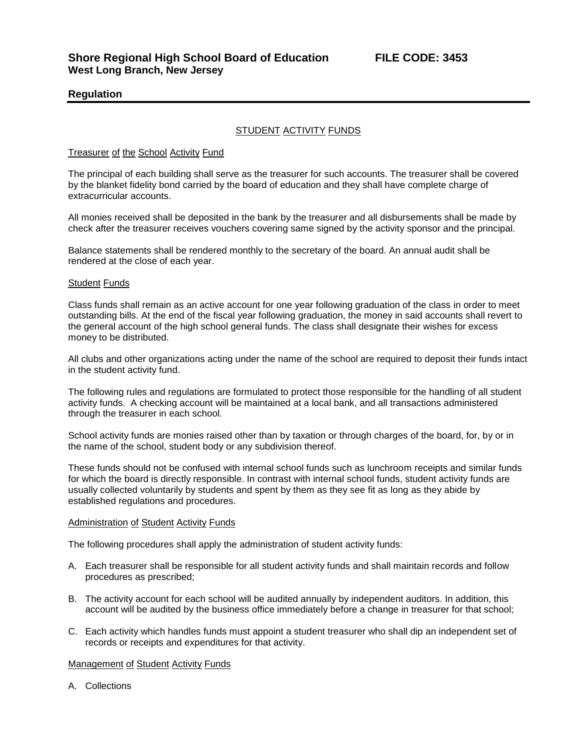# **Regulation**

# STUDENT ACTIVITY FUNDS

### Treasurer of the School Activity Fund

The principal of each building shall serve as the treasurer for such accounts. The treasurer shall be covered by the blanket fidelity bond carried by the board of education and they shall have complete charge of extracurricular accounts.

All monies received shall be deposited in the bank by the treasurer and all disbursements shall be made by check after the treasurer receives vouchers covering same signed by the activity sponsor and the principal.

Balance statements shall be rendered monthly to the secretary of the board. An annual audit shall be rendered at the close of each year.

#### Student Funds

Class funds shall remain as an active account for one year following graduation of the class in order to meet outstanding bills. At the end of the fiscal year following graduation, the money in said accounts shall revert to the general account of the high school general funds. The class shall designate their wishes for excess money to be distributed.

All clubs and other organizations acting under the name of the school are required to deposit their funds intact in the student activity fund.

The following rules and regulations are formulated to protect those responsible for the handling of all student activity funds. A checking account will be maintained at a local bank, and all transactions administered through the treasurer in each school.

School activity funds are monies raised other than by taxation or through charges of the board, for, by or in the name of the school, student body or any subdivision thereof.

These funds should not be confused with internal school funds such as lunchroom receipts and similar funds for which the board is directly responsible. In contrast with internal school funds, student activity funds are usually collected voluntarily by students and spent by them as they see fit as long as they abide by established regulations and procedures.

#### Administration of Student Activity Funds

The following procedures shall apply the administration of student activity funds:

- A. Each treasurer shall be responsible for all student activity funds and shall maintain records and follow procedures as prescribed;
- B. The activity account for each school will be audited annually by independent auditors. In addition, this account will be audited by the business office immediately before a change in treasurer for that school;
- C. Each activity which handles funds must appoint a student treasurer who shall dip an independent set of records or receipts and expenditures for that activity.

## Management of Student Activity Funds

A. Collections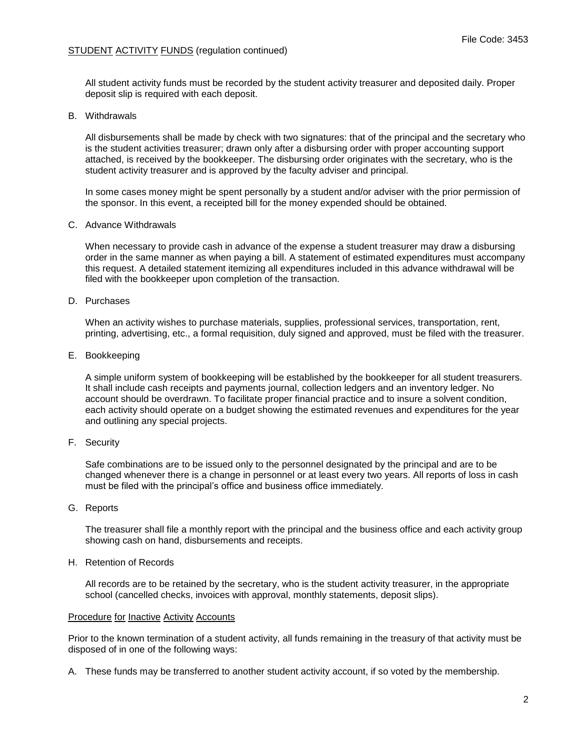# STUDENT ACTIVITY FUNDS (regulation continued)

All student activity funds must be recorded by the student activity treasurer and deposited daily. Proper deposit slip is required with each deposit.

## B. Withdrawals

All disbursements shall be made by check with two signatures: that of the principal and the secretary who is the student activities treasurer; drawn only after a disbursing order with proper accounting support attached, is received by the bookkeeper. The disbursing order originates with the secretary, who is the student activity treasurer and is approved by the faculty adviser and principal.

In some cases money might be spent personally by a student and/or adviser with the prior permission of the sponsor. In this event, a receipted bill for the money expended should be obtained.

## C. Advance Withdrawals

When necessary to provide cash in advance of the expense a student treasurer may draw a disbursing order in the same manner as when paying a bill. A statement of estimated expenditures must accompany this request. A detailed statement itemizing all expenditures included in this advance withdrawal will be filed with the bookkeeper upon completion of the transaction.

### D. Purchases

When an activity wishes to purchase materials, supplies, professional services, transportation, rent, printing, advertising, etc., a formal requisition, duly signed and approved, must be filed with the treasurer.

E. Bookkeeping

A simple uniform system of bookkeeping will be established by the bookkeeper for all student treasurers. It shall include cash receipts and payments journal, collection ledgers and an inventory ledger. No account should be overdrawn. To facilitate proper financial practice and to insure a solvent condition, each activity should operate on a budget showing the estimated revenues and expenditures for the year and outlining any special projects.

F. Security

Safe combinations are to be issued only to the personnel designated by the principal and are to be changed whenever there is a change in personnel or at least every two years. All reports of loss in cash must be filed with the principal's office and business office immediately.

G. Reports

The treasurer shall file a monthly report with the principal and the business office and each activity group showing cash on hand, disbursements and receipts.

### H. Retention of Records

All records are to be retained by the secretary, who is the student activity treasurer, in the appropriate school (cancelled checks, invoices with approval, monthly statements, deposit slips).

#### Procedure for Inactive Activity Accounts

Prior to the known termination of a student activity, all funds remaining in the treasury of that activity must be disposed of in one of the following ways:

A. These funds may be transferred to another student activity account, if so voted by the membership.